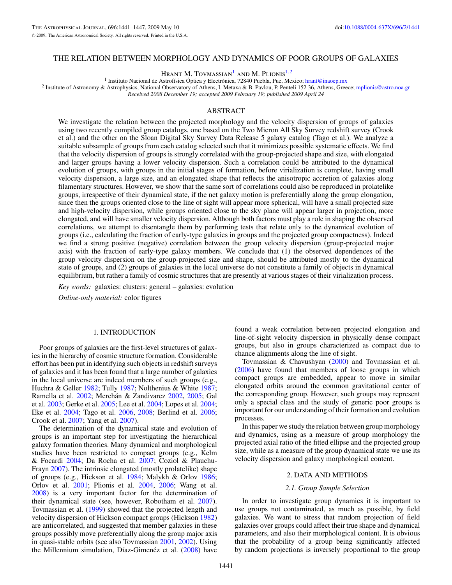## <span id="page-0-0"></span>THE RELATION BETWEEN MORPHOLOGY AND DYNAMICS OF POOR GROUPS OF GALAXIES

HRANT M. TOVMASSIAN<sup>1</sup> AND M. PLIONIS<sup>1,2</sup>

<sup>1</sup> Instituto Nacional de Astrofísica Óptica y Electrónica, 72840 Puebla, Pue, Mexico; [hrant@inaoep.mx](mailto:hrant@inaoep.mx)<br><sup>2</sup> Institute of Astronomy & Astrophysics, National Observatory of Athens, I. Metaxa & B. Pavlou, P. Penteli 152 36, At

*Received 2008 December 19; accepted 2009 February 19; published 2009 April 24*

# ABSTRACT

We investigate the relation between the projected morphology and the velocity dispersion of groups of galaxies using two recently compiled group catalogs, one based on the Two Micron All Sky Survey redshift survey (Crook et al.) and the other on the Sloan Digital Sky Survey Data Release 5 galaxy catalog (Tago et al.). We analyze a suitable subsample of groups from each catalog selected such that it minimizes possible systematic effects. We find that the velocity dispersion of groups is strongly correlated with the group-projected shape and size, with elongated and larger groups having a lower velocity dispersion. Such a correlation could be attributed to the dynamical evolution of groups, with groups in the initial stages of formation, before virialization is complete, having small velocity dispersion, a large size, and an elongated shape that reflects the anisotropic accretion of galaxies along filamentary structures. However, we show that the same sort of correlations could also be reproduced in prolatelike groups, irrespective of their dynamical state, if the net galaxy motion is preferentially along the group elongation, since then the groups oriented close to the line of sight will appear more spherical, will have a small projected size and high-velocity dispersion, while groups oriented close to the sky plane will appear larger in projection, more elongated, and will have smaller velocity dispersion. Although both factors must play a role in shaping the observed correlations, we attempt to disentangle them by performing tests that relate only to the dynamical evolution of groups (i.e., calculating the fraction of early-type galaxies in groups and the projected group compactness). Indeed we find a strong positive (negative) correlation between the group velocity dispersion (group-projected major axis) with the fraction of early-type galaxy members. We conclude that (1) the observed dependences of the group velocity dispersion on the group-projected size and shape, should be attributed mostly to the dynamical state of groups, and (2) groups of galaxies in the local universe do not constitute a family of objects in dynamical equilibrium, but rather a family of cosmic structures that are presently at various stages of their virialization process.

*Key words:* galaxies: clusters: general – galaxies: evolution

*Online-only material:* color figures

## 1. INTRODUCTION

Poor groups of galaxies are the first-level structures of galaxies in the hierarchy of cosmic structure formation. Considerable effort has been put in identifying such objects in redshift surveys of galaxies and it has been found that a large number of galaxies in the local universe are indeed members of such groups (e.g., Huchra & Geller [1982;](#page-6-0) Tully [1987;](#page-6-0) Nolthenius & White [1987;](#page-6-0) Ramella et al. [2002;](#page-6-0) Merchán & Zandivarez [2002,](#page-6-0) [2005;](#page-6-0) Gal et al. [2003;](#page-6-0) Gerke et al. [2005;](#page-6-0) Lee et al. [2004;](#page-6-0) Lopes et al. [2004;](#page-6-0) Eke et al. [2004;](#page-6-0) Tago et al. [2006,](#page-6-0) [2008;](#page-6-0) Berlind et al. [2006;](#page-5-0) Crook et al. [2007;](#page-6-0) Yang et al. [2007\)](#page-6-0).

The determination of the dynamical state and evolution of groups is an important step for investigating the hierarchical galaxy formation theories. Many dynamical and morphological studies have been restricted to compact groups (e.g., Kelm & Focardi [2004;](#page-6-0) Da Rocha et al. [2007;](#page-6-0) Coziol & Plauchu-Frayn [2007\)](#page-5-0). The intrinsic elongated (mostly prolatelike) shape of groups (e.g., Hickson et al. [1984;](#page-6-0) Malykh & Orlov [1986;](#page-6-0) Orlov et al. [2001;](#page-6-0) Plionis et al. [2004,](#page-6-0) [2006;](#page-6-0) Wang et al. [2008\)](#page-6-0) is a very important factor for the determination of their dynamical state (see, however, Robotham et al. [2007\)](#page-6-0). Tovmassian et al. [\(1999\)](#page-6-0) showed that the projected length and velocity dispersion of Hickson compact groups (Hickson [1982\)](#page-6-0) are anticorrelated, and suggested that member galaxies in these groups possibly move preferentially along the group major axis in quasi-stable orbits (see also Tovmassian [2001,](#page-6-0) [2002\)](#page-6-0). Using the Millennium simulation, Díaz-Gimenéz et al.  $(2008)$  $(2008)$  have

found a weak correlation between projected elongation and line-of-sight velocity dispersion in physically dense compact groups, but also in groups characterized as compact due to chance alignments along the line of sight.

Tovmassian & Chavushyan [\(2000\)](#page-6-0) and Tovmassian et al. [\(2006\)](#page-6-0) have found that members of loose groups in which compact groups are embedded, appear to move in similar elongated orbits around the common gravitational center of the corresponding group. However, such groups may represent only a special class and the study of generic poor groups is important for our understanding of their formation and evolution processes.

In this paper we study the relation between group morphology and dynamics, using as a measure of group morphology the projected axial ratio of the fitted ellipse and the projected group size, while as a measure of the group dynamical state we use its velocity dispersion and galaxy morphological content.

# 2. DATA AND METHODS

## *2.1. Group Sample Selection*

In order to investigate group dynamics it is important to use groups not contaminated, as much as possible, by field galaxies. We want to stress that random projection of field galaxies over groups could affect their true shape and dynamical parameters, and also their morphological content. It is obvious that the probability of a group being significantly affected by random projections is inversely proportional to the group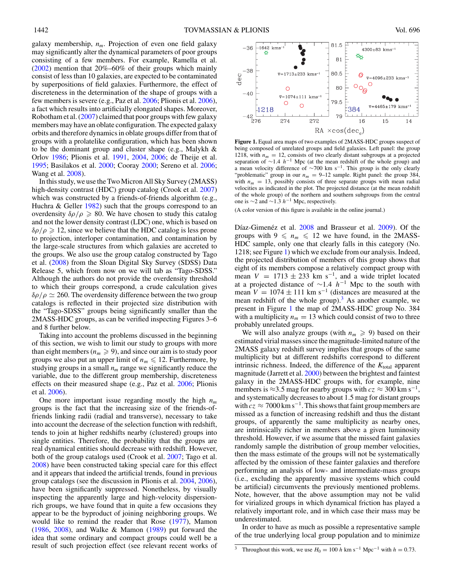<span id="page-1-0"></span>galaxy membership, *nm*. Projection of even one field galaxy may significantly alter the dynamical parameters of poor groups consisting of a few members. For example, Ramella et al. [\(2002\)](#page-6-0) mention that 20%–60% of their groups which mainly consist of less than 10 galaxies, are expected to be contaminated by superpositions of field galaxies. Furthermore, the effect of discreteness in the determination of the shape of groups with a few members is severe (e.g., Paz et al. [2006;](#page-6-0) Plionis et al. [2006\)](#page-6-0), a fact which results into artificially elongated shapes. Moreover, Robotham et al. [\(2007\)](#page-6-0) claimed that poor groups with few galaxy members may have an oblate configuration. The expected galaxy orbits and therefore dynamics in oblate groups differ from that of groups with a prolatelike configuration, which has been shown to be the dominant group and cluster shape (e.g., Malykh & Orlov [1986;](#page-6-0) Plionis et al. [1991,](#page-6-0) [2004,](#page-6-0) [2006;](#page-6-0) de Theije et al. [1995;](#page-6-0) Basilakos et al. [2000;](#page-5-0) Cooray [2000;](#page-5-0) Sereno et al. [2006;](#page-6-0) Wang et al. [2008\)](#page-6-0).

In this study, we use the Two Micron All Sky Survey (2MASS) high-density contrast (HDC) group catalog (Crook et al. [2007\)](#page-6-0) which was constructed by a friends-of-friends algorithm (e.g., Huchra  $\&$  Geller [1982\)](#page-6-0) such that the groups correspond to an overdensity  $\delta \rho / \rho \ge 80$ . We have chosen to study this catalog and not the lower density contrast (LDC) one, which is based on  $\delta\rho/\rho \geq 12$ , since we believe that the HDC catalog is less prone to projection, interloper contamination, and contamination by the large-scale structures from which galaxies are accreted to the groups. We also use the group catalog constructed by Tago et al. [\(2008\)](#page-6-0) from the Sloan Digital Sky Survey (SDSS) Data Release 5, which from now on we will tab as "Tago-SDSS." Although the authors do not provide the overdensity threshold to which their groups correspond, a crude calculation gives  $\delta \rho / \rho \simeq 260$ . The overdensity difference between the two group catalogs is reflected in their projected size distribution with the "Tago-SDSS" groups being significantly smaller than the 2MASS-HDC groups, as can be verified inspecting Figures 3–6 and 8 further below.

Taking into account the problems discussed in the beginning of this section, we wish to limit our study to groups with more than eight members ( $n_m \geqslant 9$ ), and since our aim is to study poor groups we also put an upper limit of  $n_m \leq 12$ . Furthermore, by studying groups in a small  $n<sub>m</sub>$  range we significantly reduce the variable, due to the different group membership, discreteness effects on their measured shape (e.g., Paz et al. [2006;](#page-6-0) Plionis et al. [2006\)](#page-6-0).

One more important issue regarding mostly the high  $n_m$ groups is the fact that the increasing size of the friends-offriends linking radii (radial and transverse), necessary to take into account the decrease of the selection function with redshift, tends to join at higher redshifts nearby (clustered) groups into single entities. Therefore, the probability that the groups are real dynamical entities should decrease with redshift. However, both of the group catalogs used (Crook et al. [2007;](#page-6-0) Tago et al. [2008\)](#page-6-0) have been constructed taking special care for this effect and it appears that indeed the artificial trends, found in previous group catalogs (see the discussion in Plionis et al. [2004,](#page-6-0) [2006\)](#page-6-0), have been significantly suppressed. Nonetheless, by visually inspecting the apparently large and high-velocity dispersionrich groups, we have found that in quite a few occasions they appear to be the byproduct of joining neighboring groups. We would like to remind the reader that Rose [\(1977\)](#page-6-0), Mamon  $(1986, 2008)$  $(1986, 2008)$  $(1986, 2008)$ , and Walke & Mamon  $(1989)$  put forward the idea that some ordinary and compact groups could well be a result of such projection effect (see relevant recent works of



**Figure 1.** Equal area maps of two examples of 2MASS-HDC groups suspect of being composed of unrelated groups and field galaxies. Left panel: the group 1218, with  $n_m = 12$ , consists of two clearly distant subgroups at a projected separation of <sup>∼</sup>1*.*<sup>4</sup> *<sup>h</sup>*−<sup>1</sup> Mpc (at the mean redshift of the whole group) and a mean velocity difference of  $\sim$ 700 km s<sup>-1</sup>. This group is the only clearly "problematic" group in our  $n_m = 9{\text -}12$  sample. Right panel: the group 384, with  $n_m = 13$ , possibly consists of three separate groups with mean radial velocities as indicated in the plot. The projected distance (at the mean redshift of the whole group) of the northern and southern subgroups from the central one is <sup>∼</sup>2 and <sup>∼</sup>1*.*<sup>3</sup> *<sup>h</sup>*−<sup>1</sup> Mpc, respectively.

(A color version of this figure is available in the online journal.)

Díaz-Gimenéz et al.  $2008$  and Brasseur et al. [2009\)](#page-5-0). Of the groups with  $9 \leq n_m \leq 12$  we have found, in the 2MASS-HDC sample, only one that clearly falls in this category (No. 1218; see Figure 1) which we exclude from our analysis. Indeed, the projected distribution of members of this group shows that eight of its members compose a relatively compact group with mean  $V = 1713 \pm 233$  km s<sup>-1</sup>, and a wide triplet located at a projected distance of <sup>∼</sup>1*.*<sup>4</sup> *<sup>h</sup>*−<sup>1</sup> Mpc to the south with mean  $V = 1074 \pm 111$  km s<sup>-1</sup> (distances are measured at the mean redshift of the whole group). $3$  As another example, we present in Figure 1 the map of 2MASS-HDC group No. 384 with a multiplicity  $n_m = 13$  which could consist of two to three probably unrelated groups.

We will also analyze groups (with  $n_m \geqslant 9$ ) based on their estimated virial masses since the magnitude-limited nature of the 2MASS galaxy redshift survey implies that groups of the same multiplicity but at different redshifts correspond to different intrinsic richness. Indeed, the difference of the  $K_{total}$  apparent magnitude (Jarrett et al. [2000\)](#page-6-0) between the brightest and faintest galaxy in the 2MASS-HDC groups with, for example, nine members is  $\approx$ 3.5 mag for nearby groups with  $cz \approx 300$  km s<sup>-1</sup>, and systematically decreases to about 1*.*5 mag for distant groups with  $cz \approx 7000 \,\mathrm{km\,s^{-1}}$ . This shows that faint group members are missed as a function of increasing redshift and thus the distant groups, of apparently the same multiplicity as nearby ones, are intrinsically richer in members above a given luminosity threshold. However, if we assume that the missed faint galaxies randomly sample the distribution of group member velocities, then the mass estimate of the groups will not be systematically affected by the omission of these fainter galaxies and therefore performing an analysis of low- and intermediate-mass groups (i.e., excluding the apparently massive systems which could be artificial) circumvents the previously mentioned problems. Note, however, that the above assumption may not be valid for virialized groups in which dynamical friction has played a relatively important role, and in which case their mass may be underestimated.

In order to have as much as possible a representative sample of the true underlying local group population and to minimize

 $\frac{3}{3}$  Throughout this work, we use  $H_0 = 100 h \text{ km s}^{-1} \text{ Mpc}^{-1}$  with  $h = 0.73$ .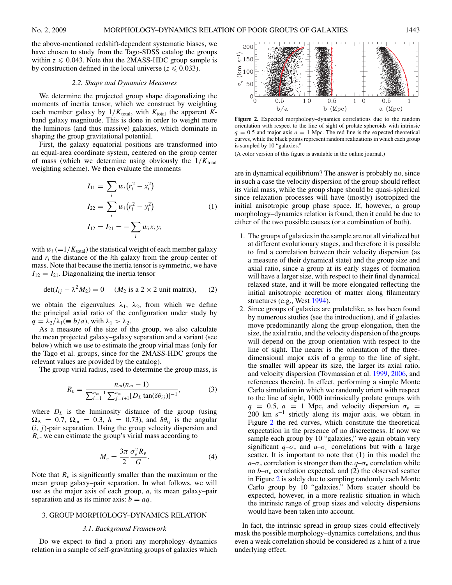<span id="page-2-0"></span>the above-mentioned redshift-dependent systematic biases, we have chosen to study from the Tago-SDSS catalog the groups within  $z \le 0.043$ . Note that the 2MASS-HDC group sample is by construction defined in the local universe ( $z \le 0.033$ ).

### *2.2. Shape and Dynamics Measures*

We determine the projected group shape diagonalizing the moments of inertia tensor, which we construct by weighting each member galaxy by  $1/K_{total}$ , with  $K_{total}$  the apparent  $K$ band galaxy magnitude. This is done in order to weight more the luminous (and thus massive) galaxies, which dominate in shaping the group gravitational potential.

First, the galaxy equatorial positions are transformed into an equal-area coordinate system, centered on the group center of mass (which we determine using obviously the  $1/K_{total}$ weighting scheme). We then evaluate the moments

$$
I_{11} = \sum_{i} w_i (r_i^2 - x_i^2)
$$
  
\n
$$
I_{22} = \sum_{i} w_i (r_i^2 - y_i^2)
$$
  
\n
$$
I_{12} = I_{21} = -\sum_{i} w_i x_i y_i
$$
\n(1)

with  $w_i$  (=1/ $K_{\text{total}}$ ) the statistical weight of each member galaxy and  $r_i$  the distance of the *i*th galaxy from the group center of mass. Note that because the inertia tensor is symmetric, we have  $I_{12} = I_{21}$ . Diagonalizing the inertia tensor

$$
\det(I_{ij} - \lambda^2 M_2) = 0 \quad (M_2 \text{ is a } 2 \times 2 \text{ unit matrix}), \quad (2)
$$

we obtain the eigenvalues  $\lambda_1$ ,  $\lambda_2$ , from which we define the principal axial ratio of the configuration under study by  $q = \lambda_2/\lambda_1 (\equiv b/a)$ , with  $\lambda_1 > \lambda_2$ .

As a measure of the size of the group, we also calculate the mean projected galaxy–galaxy separation and a variant (see below) which we use to estimate the group virial mass (only for the Tago et al. groups, since for the 2MASS-HDC groups the relevant values are provided by the catalog).

The group virial radius, used to determine the group mass, is

$$
R_v = \frac{n_m(n_m - 1)}{\sum_{i=1}^{n_m - 1} \sum_{j=i+1}^{n_m} [D_L \tan(\delta \theta_{ij})]^{-1}},
$$
(3)

where  $D_L$  is the luminosity distance of the group (using  $\Omega_{\Lambda} = 0.7$ ,  $\Omega_{\rm m} = 0.3$ ,  $h = 0.73$ ), and  $\delta\theta_{ij}$  is the angular  $(i, j)$ -pair separation. Using the group velocity dispersion and *Rv*, we can estimate the group's virial mass according to

$$
M_v = \frac{3\pi}{2} \frac{\sigma_v^2 R_v}{G}.
$$
 (4)

Note that  $R_v$  is significantly smaller than the maximum or the mean group galaxy–pair separation. In what follows, we will use as the major axis of each group, *a*, its mean galaxy–pair separation and as its minor axis:  $b = aq$ .

# 3. GROUP MORPHOLOGY–DYNAMICS RELATION

# *3.1. Background Framework*

Do we expect to find a priori any morphology–dynamics relation in a sample of self-gravitating groups of galaxies which



**Figure 2.** Expected morphology–dynamics correlations due to the random orientation with respect to the line of sight of prolate spheroids with intrinsic  $q = 0.5$  and major axis  $q = 1$  Mpc. The red line is the expected theoretical curves, while the black points represent random realizations in which each group is sampled by 10 "galaxies."

(A color version of this figure is available in the online journal.)

are in dynamical equilibrium? The answer is probably no, since in such a case the velocity dispersion of the group should reflect its virial mass, while the group shape should be quasi-spherical since relaxation processes will have (mostly) isotropized the initial anisotropic group phase space. If, however, a group morphology–dynamics relation is found, then it could be due to either of the two possible causes (or a combination of both).

- 1. The groups of galaxies in the sample are not all virialized but at different evolutionary stages, and therefore it is possible to find a correlation between their velocity dispersion (as a measure of their dynamical state) and the group size and axial ratio, since a group at its early stages of formation will have a larger size, with respect to their final dynamical relaxed state, and it will be more elongated reflecting the initial anisotropic accretion of matter along filamentary structures (e.g., West [1994\)](#page-6-0).
- 2. Since groups of galaxies are prolatelike, as has been found by numerous studies (see the introduction), and if galaxies move predominantly along the group elongation, then the size, the axial ratio, and the velocity dispersion of the groups will depend on the group orientation with respect to the line of sight. The nearer is the orientation of the threedimensional major axis of a group to the line of sight, the smaller will appear its size, the larger its axial ratio, and velocity dispersion (Tovmassian et al. [1999,](#page-6-0) [2006,](#page-6-0) and references therein). In effect, performing a simple Monte Carlo simulation in which we randomly orient with respect to the line of sight, 1000 intrinsically prolate groups with  $q = 0.5$ ,  $a = 1$  Mpc, and velocity dispersion  $\sigma_v$ 200 km s−<sup>1</sup> strictly along its major axis, we obtain in Figure 2 the red curves, which constitute the theoretical expectation in the presence of no discreetness. If now we sample each group by 10 "galaxies," we again obtain very significant  $q-\sigma_v$  and  $a-\sigma_v$  correlations but with a large scatter. It is important to note that (1) in this model the  $a-\sigma_v$  correlation is stronger than the  $q-\sigma_v$  correlation while no  $b-\sigma_v$  correlation expected, and (2) the observed scatter in Figure 2 is solely due to sampling randomly each Monte Carlo group by 10 "galaxies." More scatter should be expected, however, in a more realistic situation in which the intrinsic range of group sizes and velocity dispersions would have been taken into account.

In fact, the intrinsic spread in group sizes could effectively mask the possible morphology–dynamics correlations, and thus even a weak correlation should be considered as a hint of a true underlying effect.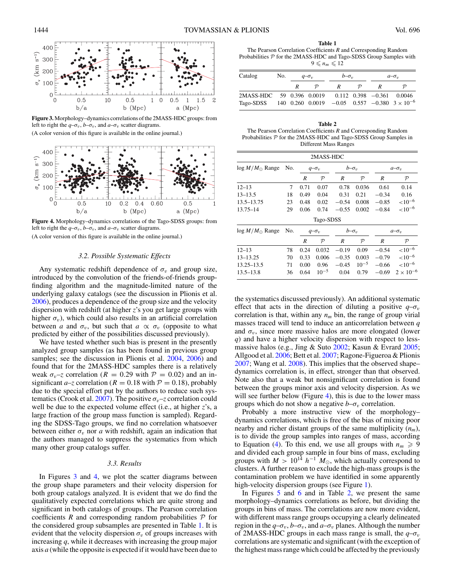

**Figure 3.** Morphology–dynamics correlations of the 2MASS-HDC groups: from left to right the  $q-\sigma_v$ ,  $b-\sigma_v$ , and  $a-\sigma_v$  scatter diagrams.

(A color version of this figure is available in the online journal.)



**Figure 4.** Morphology–dynamics correlations of the Tago-SDSS groups: from left to right the  $q-\sigma_v$ ,  $b-\sigma_v$ , and  $a-\sigma_v$  scatter diagrams. (A color version of this figure is available in the online journal.)

## *3.2. Possible Systematic Effects*

Any systematic redshift dependence of  $\sigma_v$  and group size, introduced by the convolution of the friends-of-friends groupfinding algorithm and the magnitude-limited nature of the underlying galaxy catalogs (see the discussion in Plionis et al. [2006\)](#page-6-0), produces a dependence of the group size and the velocity dispersion with redshift (at higher *z*'s you get large groups with higher  $\sigma_v$ ), which could also results in an artificial correlation between *a* and  $\sigma_v$ , but such that  $a \propto \sigma_v$  (opposite to what predicted by either of the possibilities discussed previously).

We have tested whether such bias is present in the presently analyzed group samples (as has been found in previous group samples; see the discussion in Plionis et al. [2004,](#page-6-0) [2006\)](#page-6-0) and found that for the 2MASS-HDC samples there is a relatively weak  $\sigma_v$ –*z* correlation ( $R = 0.29$  with  $P = 0.02$ ) and an insignificant *a*–*z* correlation ( $R = 0.18$  with  $P = 0.18$ ), probably due to the special effort put by the authors to reduce such sys-tematics (Crook et al. [2007\)](#page-6-0). The positive  $\sigma_v$ –*z* correlation could well be due to the expected volume effect (i.e., at higher *z*'s, a large fraction of the group mass function is sampled). Regarding the SDSS-Tago groups, we find no correlation whatsoever between either  $\sigma_v$  nor *a* with redshift, again an indication that the authors managed to suppress the systematics from which many other group catalogs suffer.

#### *3.3. Results*

In Figures 3 and 4, we plot the scatter diagrams between the group shape parameters and their velocity dispersion for both group catalogs analyzed. It is evident that we do find the qualitatively expected correlations which are quite strong and significant in both catalogs of groups. The Pearson correlation coefficients  $R$  and corresponding random probabilities  $P$  for the considered group subsamples are presented in Table 1. It is evident that the velocity dispersion  $\sigma_v$  of groups increases with increasing *q*, while it decreases with increasing the group major axis *a* (while the opposite is expected if it would have been due to

**Table 1** The Pearson Correlation Coefficients *R* and Corresponding Random Probabilities  $P$  for the 2MASS-HDC and Tago-SDSS Group Samples with  $9 \leqslant n_m \leqslant 12$ 

| Catalog                                                                                             | No. | $q-\sigma_v$ |               | $b-\sigma_v$ |               | $a-\sigma_v$ |                                   |
|-----------------------------------------------------------------------------------------------------|-----|--------------|---------------|--------------|---------------|--------------|-----------------------------------|
|                                                                                                     |     | $R_{\perp}$  | $\mathcal{D}$ | R            | $\mathcal{D}$ |              | D                                 |
| 2MASS-HDC 59 0.396 0.0019<br>Tago-SDSS 140 0.260 0.0019 $-0.05$ 0.557 $-0.380$ 3 × 10 <sup>-6</sup> |     |              |               |              |               |              | $0.112$ $0.398$ $-0.361$ $0.0046$ |

**Table 2** The Pearson Correlation Coefficients *R* and Corresponding Random Probabilities  $P$  for the 2MASS-HDC and Tago-SDSS Group Samples in Different Mass Ranges

|                          |     |              | 2MASS-HDC     |              |               |              |                    |
|--------------------------|-----|--------------|---------------|--------------|---------------|--------------|--------------------|
| $\log M/M_{\odot}$ Range | No. | $q-\sigma_v$ |               | $b-\sigma_v$ |               | $a-\sigma_v$ |                    |
|                          |     | R            | $\mathcal{P}$ | R            | $\mathcal{P}$ | R            | ${\cal P}$         |
| $12 - 13$                | 7   | 0.71         | 0.07          | 0.78         | 0.036         | 0.61         | 0.14               |
| $13 - 13.5$              | 18  | 0.49         | 0.04          | 0.31         | 0.21          | $-0.34$      | 0.16               |
| 13.5–13.75               | 23  | 0.48         | 0.02          | $-0.54$      | 0.008         | $-0.85$      | ${<}10^{-6}$       |
| 13.75-14                 | 29  | 0.06         | 0.74          | $-0.55$      | 0.002         | $-0.84$      | ${<}10^{-6}$       |
|                          |     |              | Tago-SDSS     |              |               |              |                    |
| $\log M/M_{\odot}$ Range | No. | $q-\sigma_v$ |               | $b-\sigma_v$ |               | $a-\sigma_v$ |                    |
|                          |     | R            | $\mathcal{P}$ | R            | $\mathcal{P}$ | R            | $\mathcal{P}$      |
| $12 - 13$                | 78  | 0.24         | 0.032         | $-0.19$      | 0.09          | $-0.54$      | ${<}10^{-6}$       |
| $13 - 13.25$             | 70  | 0.33         | 0.006         | $-0.35$      | 0.003         | $-0.79$      | ${<}10^{-6}$       |
| 13.25–13.5               | 71  | 0.00         | 0.96          | $-0.45$      | $10^{-5}$     | $-0.66$      | ${<}10^{-6}$       |
| $13.5 - 13.8$            | 36  | 0.64         | $10^{-5}$     | 0.04         | 0.79          | $-0.69$      | $2 \times 10^{-6}$ |

the systematics discussed previously). An additional systematic effect that acts in the direction of diluting a positive  $q-\sigma_v$ correlation is that, within any  $n_m$  bin, the range of group virial masses traced will tend to induce an anticorrelation between *q* and  $\sigma_v$ , since more massive halos are more elongated (lower *q*) and have a higher velocity dispersion with respect to lessmassive halos (e.g., Jing & Suto [2002;](#page-6-0) Kasun & Evrard [2005;](#page-6-0) Allgood et al. [2006;](#page-5-0) Bett et al. [2007;](#page-5-0) Ragone-Figueroa & Plionis [2007;](#page-6-0) Wang et al. [2008\)](#page-6-0). This implies that the observed shape– dynamics correlation is, in effect, stronger than that observed. Note also that a weak but nonsignificant correlation is found between the groups minor axis and velocity dispersion. As we will see further below (Figure 4), this is due to the lower mass groups which do not show a negative  $b-\sigma_v$  correlation.

Probably a more instructive view of the morphology– dynamics correlations, which is free of the bias of mixing poor nearby and richer distant groups of the same multiplicity  $(n_m)$ , is to divide the group samples into ranges of mass, according to Equation [\(4\)](#page-2-0). To this end, we use all groups with  $n_m \geq 9$ and divided each group sample in four bins of mass, excluding groups with  $M > 10^{14} h^{-1} M_{\odot}$ , which actually correspond to clusters. A further reason to exclude the high-mass groups is the contamination problem we have identified in some apparently high-velocity dispersion groups (see Figure [1\)](#page-1-0).

In Figures [5](#page-4-0) and [6](#page-4-0) and in Table 2, we present the same morphology–dynamics correlations as before, but dividing the groups in bins of mass. The correlations are now more evident, with different mass range groups occupying a clearly delineated region in the  $q-\sigma_v$ ,  $b-\sigma_v$ , and  $a-\sigma_v$  planes. Although the number of 2MASS-HDC groups in each mass range is small, the  $q-\sigma_v$ correlations are systematic and significant (with the exception of the highest mass range which could be affected by the previously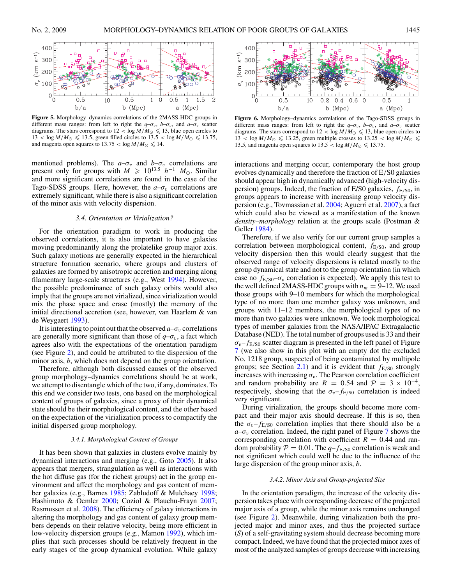<span id="page-4-0"></span>

**Figure 5.** Morphology–dynamics correlations of the 2MASS-HDC groups in different mass ranges: from left to right the  $q-\sigma_v$ ,  $b-\sigma_v$ , and  $a-\sigma_v$  scatter diagrams. The stars correspond to  $12 < \log M/M_{\odot} \leq 13$ , blue open circles to  $13 < \log M/M_{\odot} \leq 13.5$ , green filled circles to  $13.5 < \log M/M_{\odot} \leq 13.75$ , and magenta open squares to  $13.75 < \log M/M_{\odot} \leq 14$ .

mentioned problems). The  $a-\sigma_v$  and  $b-\sigma_v$  correlations are present only for groups with  $M \ge 10^{13.5} h^{-1} M_{\odot}$ . Similar and more significant correlations are found in the case of the Tago-SDSS groups. Here, however, the  $a-\sigma_v$  correlations are extremely significant, while there is also a significant correlation of the minor axis with velocity dispersion.

## *3.4. Orientation or Virialization?*

For the orientation paradigm to work in producing the observed correlations, it is also important to have galaxies moving predominantly along the prolatelike group major axis. Such galaxy motions are generally expected in the hierarchical structure formation scenario, where groups and clusters of galaxies are formed by anisotropic accretion and merging along filamentary large-scale structures (e.g., West [1994\)](#page-6-0). However, the possible predominance of such galaxy orbits would also imply that the groups are not virialized, since virialization would mix the phase space and erase (mostly) the memory of the initial directional accretion (see, however, van Haarlem & van de Weygaert [1993\)](#page-6-0).

It is interesting to point out that the observed  $a-\sigma_v$  correlations are generally more significant than those of  $q-\sigma_v$ , a fact which agrees also with the expectations of the orientation paradigm (see Figure [2\)](#page-2-0), and could be attributed to the dispersion of the minor axis, *b*, which does not depend on the group orientation.

Therefore, although both discussed causes of the observed group morphology–dynamics correlations should be at work, we attempt to disentangle which of the two, if any, dominates. To this end we consider two tests, one based on the morphological content of groups of galaxies, since a proxy of their dynamical state should be their morphological content, and the other based on the expectation of the virialization process to compactify the initial dispersed group morphology.

### *3.4.1. Morphological Content of Groups*

It has been shown that galaxies in clusters evolve mainly by dynamical interactions and merging (e.g., Goto [2005\)](#page-6-0). It also appears that mergers, strangulation as well as interactions with the hot diffuse gas (for the richest groups) act in the group environment and affect the morphology and gas content of member galaxies (e.g., Barnes [1985;](#page-5-0) Zabludoff & Mulchaey [1998;](#page-6-0) Hashimoto & Oemler [2000;](#page-6-0) Coziol & Plauchu-Frayn [2007;](#page-5-0) Rasmussen et al. [2008\)](#page-6-0). The efficiency of galaxy interactions in altering the morphology and gas content of galaxy group members depends on their relative velocity, being more efficient in low-velocity dispersion groups (e.g., Mamon [1992\)](#page-6-0), which implies that such processes should be relatively frequent in the early stages of the group dynamical evolution. While galaxy



**Figure 6.** Morphology–dynamics correlations of the Tago-SDSS groups in different mass ranges: from left to right the  $q-\sigma_v$ ,  $b-\sigma_v$ , and  $a-\sigma_v$  scatter diagrams. The stars correspond to  $12 < \log M/M_{\odot} \leq 13$ , blue open circles to  $13 < \log M/M_{\odot} \le 13.25$ , green multiple crosses to  $13.25 < \log M/M_{\odot} \le$ 13.5, and magenta open squares to  $13.5 < \log M/M_{\odot} \leq 13.75$ .

interactions and merging occur, contemporary the host group evolves dynamically and therefore the fraction of E*/*S0 galaxies should appear high in dynamically advanced (high-velocity dispersion) groups. Indeed, the fraction of E/S0 galaxies, *f*E*/*S0, in groups appears to increase with increasing group velocity dispersion (e.g., Tovmassian et al. [2004;](#page-6-0) Aguerri et al. [2007\)](#page-5-0), a fact which could also be viewed as a manifestation of the known *density–morphology* relation at the groups scale (Postman & Geller [1984\)](#page-6-0).

Therefore, if we also verify for our current group samples a correlation between morphological content,  $f_{E/S0}$ , and group velocity dispersion then this would clearly suggest that the observed range of velocity dispersions is related mostly to the group dynamical state and not to the group orientation (in which case no  $f_{E/S0} - \sigma_v$  correlation is expected). We apply this test to the well defined 2MASS-HDC groups with  $n_m = 9-12$ . We used those groups with 9–10 members for which the morphological type of no more than one member galaxy was unknown, and groups with 11–12 members, the morphological types of no more than two galaxies were unknown. We took morphological types of member galaxies from the NASA/IPAC Extragalactic Database (NED). The total number of groups used is 33 and their  $\sigma_v$ – $f_{E/S0}$  scatter diagram is presented in the left panel of Figure [7](#page-5-0) (we also show in this plot with an empty dot the excluded No. 1218 group, suspected of being contaminated by multipole groups; see Section [2.1\)](#page-0-0) and it is evident that  $f_{E/S0}$  strongly increases with increasing  $\sigma_v$ . The Pearson correlation coefficient and random probability are  $R = 0.54$  and  $\mathcal{P} = 3 \times 10^{-4}$ , respectively, showing that the  $\sigma_v$ – $f_{E/S0}$  correlation is indeed very significant.

During virialization, the groups should become more compact and their major axis should decrease. If this is so, then the  $\sigma_v$ – $f_{E/S0}$  correlation implies that there should also be a  $a-\sigma_v$  correlation. Indeed, the right panel of Figure [7](#page-5-0) shows the corresponding correlation with coefficient  $R = 0.44$  and random probability  $P = 0.01$ . The  $q - f_{E/S0}$  correlation is weak and not significant which could well be due to the influence of the large dispersion of the group minor axis, *b*.

## *3.4.2. Minor Axis and Group-projected Size*

In the orientation paradigm, the increase of the velocity dispersion takes place with corresponding decrease of the projected major axis of a group, while the minor axis remains unchanged (see Figure [2\)](#page-2-0). Meanwhile, during virialization both the projected major and minor axes, and thus the projected surface (*S*) of a self-gravitating system should decrease becoming more compact. Indeed, we have found that the projected minor axes of most of the analyzed samples of groups decrease with increasing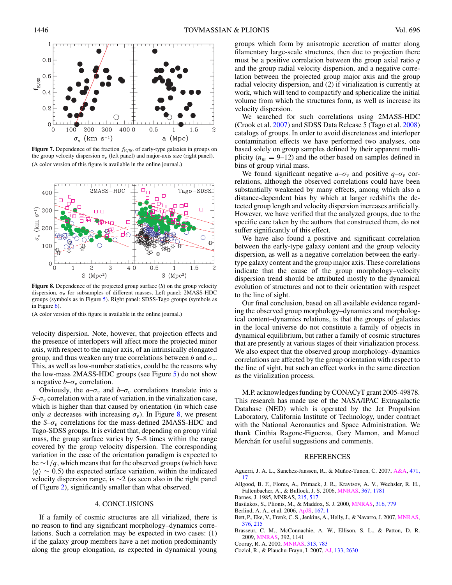<span id="page-5-0"></span>

 $0.2$ 0 300 4000  $\,0\,$  $100$ 200  $0.5$ 1.5  $\overline{c}$  $\sigma_{v}$  (km s<sup>-1</sup>) a (Mpc)

**Figure 7.** Dependence of the fraction *f*E*/*S0 of early-type galaxies in groups on the group velocity dispersion  $\sigma_v$  (left panel) and major-axis size (right panel). (A color version of this figure is available in the online journal.)



**Figure 8.** Dependence of the projected group surface (*S*) on the group velocity dispersion, *σv* for subsamples of different masses. Left panel: 2MASS-HDC groups (symbols as in Figure [5\)](#page-4-0). Right panel: SDSS-Tago groups (symbols as in Figure [6\)](#page-4-0).

(A color version of this figure is available in the online journal.)

velocity dispersion. Note, however, that projection effects and the presence of interlopers will affect more the projected minor axis, with respect to the major axis, of an intrinsically elongated group, and thus weaken any true correlations between *b* and  $\sigma_v$ . This, as well as low-number statistics, could be the reasons why the low-mass 2MASS-HDC groups (see Figure [5\)](#page-4-0) do not show a negative  $b-\sigma_v$  correlation.

Obviously, the  $a-\sigma_v$  and  $b-\sigma_v$  correlations translate into a *S*– $\sigma$ <sub>v</sub> correlation with a rate of variation, in the virialization case, which is higher than that caused by orientation (in which case only *a* decreases with increasing  $\sigma_v$ ). In Figure 8, we present the  $S-\sigma_v$  correlations for the mass-defined 2MASS-HDC and Tago-SDSS groups. It is evident that, depending on group virial mass, the group surface varies by 5–8 times within the range covered by the group velocity dispersion. The corresponding variation in the case of the orientation paradigm is expected to be ∼1*/q*, which means that for the observed groups (which have  $\langle q \rangle \sim 0.5$ ) the expected surface variation, within the indicated velocity dispersion range, is ∼2 (as seen also in the right panel of Figure [2\)](#page-2-0), significantly smaller than what observed.

# 4. CONCLUSIONS

If a family of cosmic structures are all virialized, there is no reason to find any significant morphology–dynamics correlations. Such a correlation may be expected in two cases: (1) if the galaxy group members have a net motion predominantly along the group elongation, as expected in dynamical young

groups which form by anisotropic accretion of matter along filamentary large-scale structures, then due to projection there must be a positive correlation between the group axial ratio *q* and the group radial velocity dispersion, and a negative correlation between the projected group major axis and the group radial velocity dispersion, and (2) if virialization is currently at work, which will tend to compactify and sphericalize the initial volume from which the structures form, as well as increase its velocity dispersion.

We searched for such correlations using 2MASS-HDC (Crook et al. [2007\)](#page-6-0) and SDSS Data Release 5 (Tago et al. [2008\)](#page-6-0) catalogs of groups. In order to avoid discreteness and interloper contamination effects we have performed two analyses, one based solely on group samples defined by their apparent multiplicity  $(n_m = 9-12)$  and the other based on samples defined in bins of group virial mass.

We found significant negative  $a-\sigma_v$  and positive  $q-\sigma_v$  correlations, although the observed correlations could have been substantially weakened by many effects, among which also a distance-dependent bias by which at larger redshifts the detected group length and velocity dispersion increases artificially. However, we have verified that the analyzed groups, due to the specific care taken by the authors that constructed them, do not suffer significantly of this effect.

We have also found a positive and significant correlation between the early-type galaxy content and the group velocity dispersion, as well as a negative correlation between the earlytype galaxy content and the group major axis. These correlations indicate that the cause of the group morphology–velocity dispersion trend should be attributed mostly to the dynamical evolution of structures and not to their orientation with respect to the line of sight.

Our final conclusion, based on all available evidence regarding the observed group morphology–dynamics and morphological content–dynamics relations, is that the groups of galaxies in the local universe do not constitute a family of objects in dynamical equilibrium, but rather a family of cosmic structures that are presently at various stages of their virialization process. We also expect that the observed group morphology–dynamics correlations are affected by the group orientation with respect to the line of sight, but such an effect works in the same direction as the virialization process.

M.P. acknowledges funding by CONACyT grant 2005-49878. This research has made use of the NASA/IPAC Extragalactic Database (NED) which is operated by the Jet Propulsion Laboratory, California Institute of Technology, under contract with the National Aeronautics and Space Administration. We thank Cinthia Ragone-Figueroa, Gary Mamon, and Manuel Merchán for useful suggestions and comments.

### REFERENCES

- Aguerri, J. A. L., Sanchez-Janssen, R., & Muñoz-Tunon, C. 2007, [A&A,](http://dx.doi.org/10.1051/0004-6361:20066478) [471,](http://adsabs.harvard.edu/cgi-bin/bib_query?2007A&A...471...17A) [17](http://adsabs.harvard.edu/cgi-bin/bib_query?2007A&A...471...17A)
- Allgood, B. F., Flores, A., Primack, J. R., Kravtsov, A. V., Wechsler, R. H., Faltenbacher, A., & Bullock, J. S. 2006, [MNRAS,](http://dx.doi.org/10.1111/j.1365-2966.2006.10094.x) [367, 1781](http://adsabs.harvard.edu/cgi-bin/bib_query?2006MNRAS.367.1781A)
- Barnes, J. 1985, MNRAS, [215, 517](http://adsabs.harvard.edu/cgi-bin/bib_query?1985MNRAS.215..517B)
- Basilakos, S., Plionis, M., & Maddox, S. J. 2000, [MNRAS,](http://dx.doi.org/10.1046/j.1365-8711.2000.03590.x) [316, 779](http://adsabs.harvard.edu/cgi-bin/bib_query?2000MNRAS.316..779B)
- Berlind, A. A., et al. 2006, [ApJS,](http://dx.doi.org/10.1086/508170) [167, 1](http://adsabs.harvard.edu/cgi-bin/bib_query?2006ApJS..167....1B)
- Bett, P., Eke, V., Frenk, C. S., Jenkins, A., Helly, J., & Navarro, J. 2007, [MNRAS,](http://dx.doi.org/10.1111/j.1365-2966.2007.11432.x) [376, 215](http://adsabs.harvard.edu/cgi-bin/bib_query?2007MNRAS.376..215B)
- Brasseur, C. M., McConnachie, A. W., Ellison, S. L., & Patton, D. R. 2009, [MNRAS,](http://dx.doi.org/10.1111/j.1365-2966.2008.14092.x) 392, 1141
- Cooray, R. A. 2000, [MNRAS,](http://dx.doi.org/10.1046/j.1365-8711.2000.03260.x) [313, 783](http://adsabs.harvard.edu/cgi-bin/bib_query?2000MNRAS.313..783C)
- Coziol, R., & Plauchu-Frayn, I. 2007, [AJ,](http://dx.doi.org/10.1086/513514) [133, 2630](http://adsabs.harvard.edu/cgi-bin/bib_query?2007AJ....133.2630C)

 $0.8$ 

 $0.6$  $\rm f_{E/S0}$  $0.4$